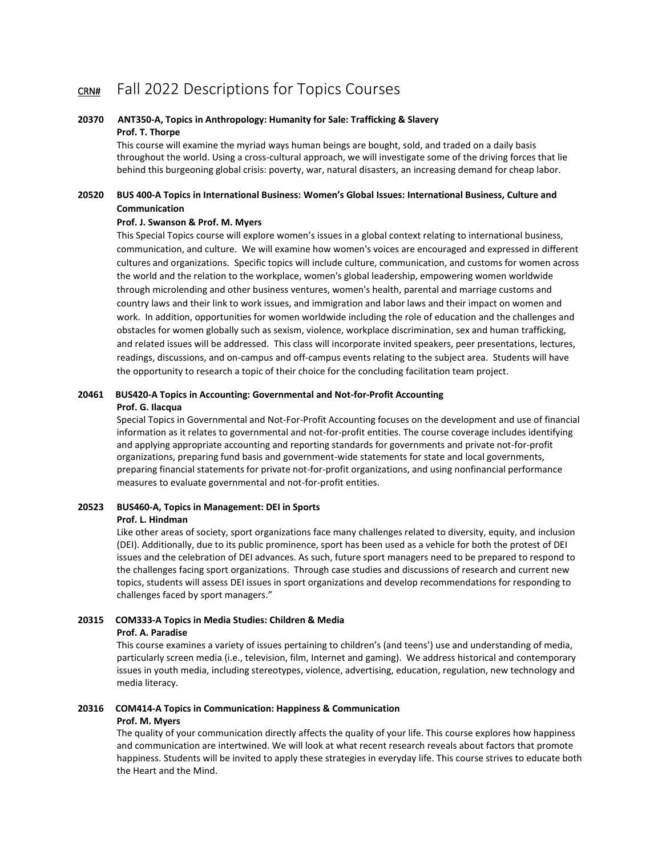## CRN# Fall 2022 Descriptions for Topics Courses

#### **20370 ANT350-A, Topics in Anthropology: Humanity for Sale: Trafficking & Slavery Prof. T. Thorpe**

This course will examine the myriad ways human beings are bought, sold, and traded on a daily basis throughout the world. Using a cross-cultural approach, we will investigate some of the driving forces that lie behind this burgeoning global crisis: poverty, war, natural disasters, an increasing demand for cheap labor. 

#### **20520 BUS 400-A Topics in International Business: Women's Global Issues: International Business, Culture and Communication**

#### **Prof. J. Swanson & Prof. M. Myers**

This Special Topics course will explore women's issues in a global context relating to international business, communication, and culture. We will examine how women's voices are encouraged and expressed in different cultures and organizations. Specific topics will include culture, communication, and customs for women across the world and the relation to the workplace, women's global leadership, empowering women worldwide through microlending and other business ventures, women's health, parental and marriage customs and country laws and their link to work issues, and immigration and labor laws and their impact on women and work. In addition, opportunities for women worldwide including the role of education and the challenges and obstacles for women globally such as sexism, violence, workplace discrimination, sex and human trafficking, and related issues will be addressed. This class will incorporate invited speakers, peer presentations, lectures, readings, discussions, and on-campus and off-campus events relating to the subject area. Students will have the opportunity to research a topic of their choice for the concluding facilitation team project.

#### **20461 BUS420-A Topics in Accounting: Governmental and Not-for-Profit Accounting Prof. G. Ilacqua**

Special Topics in Governmental and Not-For-Profit Accounting focuses on the development and use of financial information as it relates to governmental and not-for-profit entities. The course coverage includes identifying and applying appropriate accounting and reporting standards for governments and private not-for-profit organizations, preparing fund basis and government-wide statements for state and local governments, preparing financial statements for private not-for-profit organizations, and using nonfinancial performance measures to evaluate governmental and not-for-profit entities. 

#### **20523 BUS460-A, Topics in Management: DEI in Sports Prof. L. Hindman**

Like other areas of society, sport organizations face many challenges related to diversity, equity, and inclusion (DEI). Additionally, due to its public prominence, sport has been used as a vehicle for both the protest of DEI issues and the celebration of DEI advances. As such, future sport managers need to be prepared to respond to the challenges facing sport organizations.  Through case studies and discussions of research and current new topics, students will assess DEI issues in sport organizations and develop recommendations for responding to challenges faced by sport managers."

#### **20315 COM333-A Topics in Media Studies: Children & Media Prof. A. Paradise**

This course examines a variety of issues pertaining to children's (and teens') use and understanding of media, particularly screen media (i.e., television, film, Internet and gaming).  We address historical and contemporary issues in youth media, including stereotypes, violence, advertising, education, regulation, new technology and media literacy.  

#### **20316 COM414-A Topics in Communication: Happiness & Communication Prof. M. Myers**

The quality of your communication directly affects the quality of your life. This course explores how happiness and communication are intertwined. We will look at what recent research reveals about factors that promote happiness. Students will be invited to apply these strategies in everyday life. This course strives to educate both the Heart and the Mind.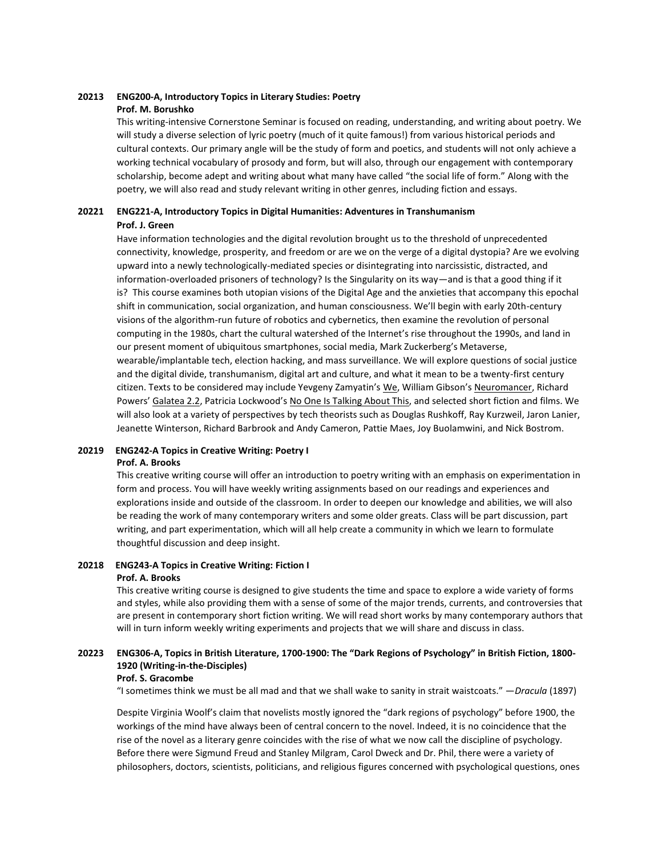## **20213 ENG200-A, Introductory Topics in Literary Studies: Poetry Prof. M. Borushko**

This writing-intensive Cornerstone Seminar is focused on reading, understanding, and writing about poetry. We will study a diverse selection of lyric poetry (much of it quite famous!) from various historical periods and cultural contexts. Our primary angle will be the study of form and poetics, and students will not only achieve a working technical vocabulary of prosody and form, but will also, through our engagement with contemporary scholarship, become adept and writing about what many have called "the social life of form." Along with the poetry, we will also read and study relevant writing in other genres, including fiction and essays.

#### **20221 ENG221-A, Introductory Topics in Digital Humanities: Adventures in Transhumanism Prof. J. Green**

Have information technologies and the digital revolution brought us to the threshold of unprecedented connectivity, knowledge, prosperity, and freedom or are we on the verge of a digital dystopia? Are we evolving upward into a newly technologically-mediated species or disintegrating into narcissistic, distracted, and information-overloaded prisoners of technology? Is the Singularity on its way—and is that a good thing if it is? This course examines both utopian visions of the Digital Age and the anxieties that accompany this epochal shift in communication, social organization, and human consciousness. We'll begin with early 20th-century visions of the algorithm-run future of robotics and cybernetics, then examine the revolution of personal computing in the 1980s, chart the cultural watershed of the Internet's rise throughout the 1990s, and land in our present moment of ubiquitous smartphones, social media, Mark Zuckerberg's Metaverse, wearable/implantable tech, election hacking, and mass surveillance. We will explore questions of social justice and the digital divide, transhumanism, digital art and culture, and what it mean to be a twenty-first century citizen. Texts to be considered may include Yevgeny Zamyatin's We, William Gibson's Neuromancer, Richard Powers' Galatea 2.2, Patricia Lockwood's No One Is Talking About This, and selected short fiction and films. We will also look at a variety of perspectives by tech theorists such as Douglas Rushkoff, Ray Kurzweil, Jaron Lanier, Jeanette Winterson, Richard Barbrook and Andy Cameron, Pattie Maes, Joy Buolamwini, and Nick Bostrom.

#### **20219 ENG242-A Topics in Creative Writing: Poetry I Prof. A. Brooks**

This creative writing course will offer an introduction to poetry writing with an emphasis on experimentation in form and process. You will have weekly writing assignments based on our readings and experiences and explorations inside and outside of the classroom. In order to deepen our knowledge and abilities, we will also be reading the work of many contemporary writers and some older greats. Class will be part discussion, part writing, and part experimentation, which will all help create a community in which we learn to formulate thoughtful discussion and deep insight.

#### **20218 ENG243-A Topics in Creative Writing: Fiction I Prof. A. Brooks**

This creative writing course is designed to give students the time and space to explore a wide variety of forms and styles, while also providing them with a sense of some of the major trends, currents, and controversies that are present in contemporary short fiction writing. We will read short works by many contemporary authors that will in turn inform weekly writing experiments and projects that we will share and discuss in class.

## **20223 ENG306-A, Topics in British Literature, 1700-1900: The "Dark Regions of Psychology" in British Fiction, 1800- 1920 (Writing-in-the-Disciples)**

#### **Prof. S. Gracombe**

"I sometimes think we must be all mad and that we shall wake to sanity in strait waistcoats." —*Dracula* (1897)

Despite Virginia Woolf's claim that novelists mostly ignored the "dark regions of psychology" before 1900, the workings of the mind have always been of central concern to the novel. Indeed, it is no coincidence that the rise of the novel as a literary genre coincides with the rise of what we now call the discipline of psychology. Before there were Sigmund Freud and Stanley Milgram, Carol Dweck and Dr. Phil, there were a variety of philosophers, doctors, scientists, politicians, and religious figures concerned with psychological questions, ones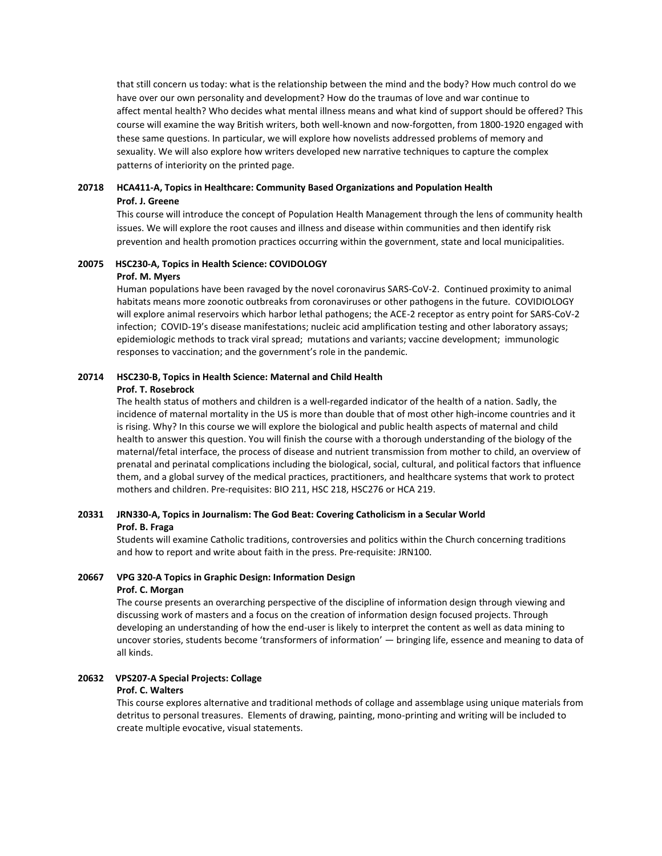that still concern us today: what is the relationship between the mind and the body? How much control do we have over our own personality and development? How do the traumas of love and war continue to affect mental health? Who decides what mental illness means and what kind of support should be offered? This course will examine the way British writers, both well-known and now-forgotten, from 1800-1920 engaged with these same questions. In particular, we will explore how novelists addressed problems of memory and sexuality. We will also explore how writers developed new narrative techniques to capture the complex patterns of interiority on the printed page.

### **20718 HCA411-A, Topics in Healthcare: Community Based Organizations and Population Health Prof. J. Greene**

This course will introduce the concept of Population Health Management through the lens of community health issues. We will explore the root causes and illness and disease within communities and then identify risk prevention and health promotion practices occurring within the government, state and local municipalities.

#### **20075 HSC230-A, Topics in Health Science: COVIDOLOGY Prof. M. Myers**

Human populations have been ravaged by the novel coronavirus SARS-CoV-2.  Continued proximity to animal habitats means more zoonotic outbreaks from coronaviruses or other pathogens in the future.  COVIDIOLOGY will explore animal reservoirs which harbor lethal pathogens; the ACE-2 receptor as entry point for SARS-CoV-2 infection;  COVID-19's disease manifestations; nucleic acid amplification testing and other laboratory assays;  epidemiologic methods to track viral spread;  mutations and variants; vaccine development;  immunologic responses to vaccination; and the government's role in the pandemic.

## **20714 HSC230-B, Topics in Health Science: Maternal and Child Health**

#### **Prof. T. Rosebrock**

The health status of mothers and children is a well-regarded indicator of the health of a nation. Sadly, the incidence of maternal mortality in the US is more than double that of most other high-income countries and it is rising. Why? In this course we will explore the biological and public health aspects of maternal and child health to answer this question. You will finish the course with a thorough understanding of the biology of the maternal/fetal interface, the process of disease and nutrient transmission from mother to child, an overview of prenatal and perinatal complications including the biological, social, cultural, and political factors that influence them, and a global survey of the medical practices, practitioners, and healthcare systems that work to protect mothers and children. Pre-requisites: BIO 211, HSC 218, HSC276 or HCA 219.

### **20331 JRN330-A, Topics in Journalism: The God Beat: Covering Catholicism in a Secular World Prof. B. Fraga**

Students will examine Catholic traditions, controversies and politics within the Church concerning traditions and how to report and write about faith in the press. Pre-requisite: JRN100.

# **20667 VPG 320-A Topics in Graphic Design: Information Design**

#### **Prof. C. Morgan**

The course presents an overarching perspective of the discipline of information design through viewing and discussing work of masters and a focus on the creation of information design focused projects. Through developing an understanding of how the end-user is likely to interpret the content as well as data mining to uncover stories, students become 'transformers of information' — bringing life, essence and meaning to data of all kinds.

#### **20632 VPS207-A Special Projects: Collage**

#### **Prof. C. Walters**

This course explores alternative and traditional methods of collage and assemblage using unique materials from detritus to personal treasures.  Elements of drawing, painting, mono-printing and writing will be included to create multiple evocative, visual statements.